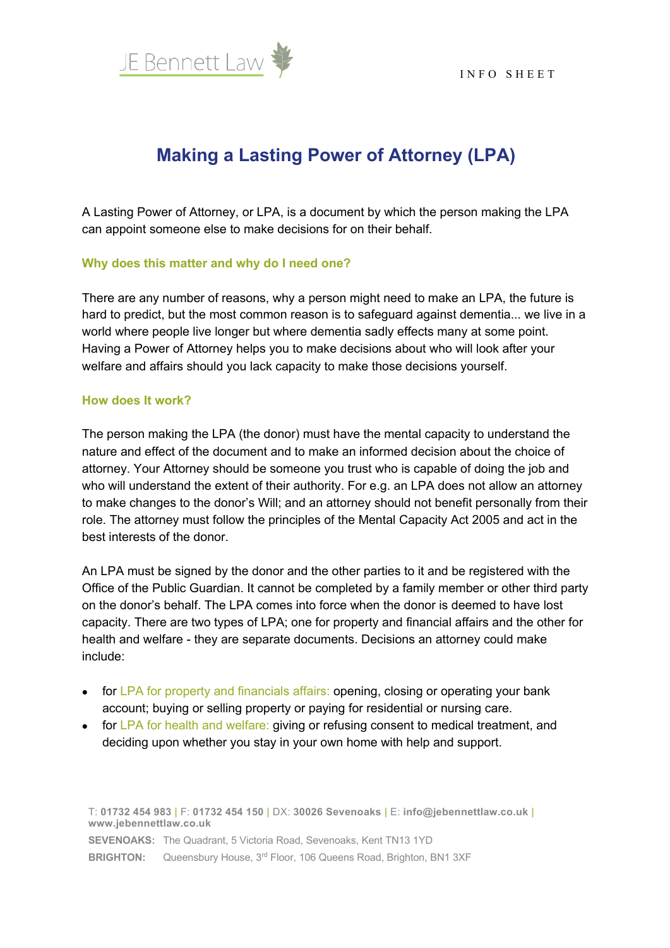

# **Making a Lasting Power of Attorney (LPA)**

A Lasting Power of Attorney, or LPA, is a document by which the person making the LPA can appoint someone else to make decisions for on their behalf.

#### **Why does this matter and why do I need one?**

There are any number of reasons, why a person might need to make an LPA, the future is hard to predict, but the most common reason is to safeguard against dementia... we live in a world where people live longer but where dementia sadly effects many at some point. Having a Power of Attorney helps you to make decisions about who will look after your welfare and affairs should you lack capacity to make those decisions yourself.

### **How does It work?**

The person making the LPA (the donor) must have the mental capacity to understand the nature and effect of the document and to make an informed decision about the choice of attorney. Your Attorney should be someone you trust who is capable of doing the job and who will understand the extent of their authority. For e.g. an LPA does not allow an attorney to make changes to the donor's Will; and an attorney should not benefit personally from their role. The attorney must follow the principles of the Mental Capacity Act 2005 and act in the best interests of the donor.

An LPA must be signed by the donor and the other parties to it and be registered with the Office of the Public Guardian. It cannot be completed by a family member or other third party on the donor's behalf. The LPA comes into force when the donor is deemed to have lost capacity. There are two types of LPA; one for property and financial affairs and the other for health and welfare - they are separate documents. Decisions an attorney could make include:

- for LPA for property and financials affairs: opening, closing or operating your bank account; buying or selling property or paying for residential or nursing care.
- for LPA for health and welfare: giving or refusing consent to medical treatment, and deciding upon whether you stay in your own home with help and support.